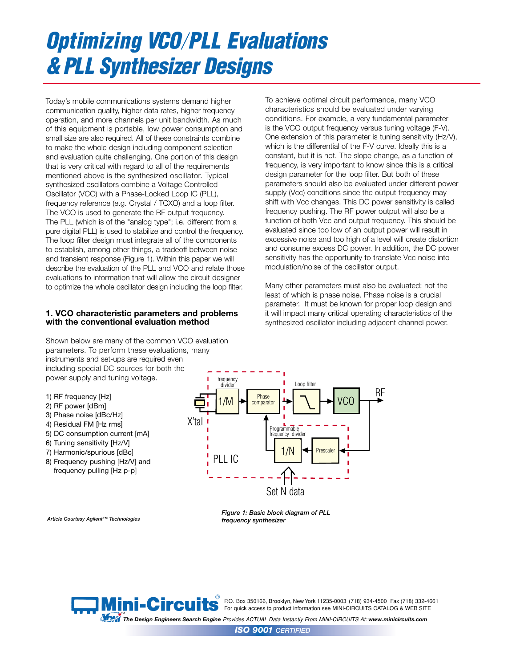# *Optimizing VCO PLL Evaluations & PLL Synthesizer Designs*

Today's mobile communications systems demand higher communication quality, higher data rates, higher frequency operation, and more channels per unit bandwidth. As much of this equipment is portable, low power consumption and small size are also required. All of these constraints combine to make the whole design including component selection and evaluation quite challenging. One portion of this design that is very critical with regard to all of the requirements mentioned above is the synthesized oscillator. Typical synthesized oscillators combine a Voltage Controlled Oscillator (VCO) with a Phase-Locked Loop IC (PLL), frequency reference (e.g. Crystal / TCXO) and a loop filter. The VCO is used to generate the RF output frequency. The PLL (which is of the "analog type"; i.e. different from a pure digital PLL) is used to stabilize and control the frequency. The loop filter design must integrate all of the components to establish, among other things, a tradeoff between noise and transient response (Figure 1). Within this paper we will describe the evaluation of the PLL and VCO and relate those evaluations to information that will allow the circuit designer to optimize the whole oscillator design including the loop filter.

# **1. VCO characteristic parameters and problems with the conventional evaluation method**

conditions. For example, a very fundamental parameter is the VCO output frequency versus tuning voltage (F-V). One extension of this parameter is tuning sensitivity (Hz/V), which is the differential of the F-V curve. Ideally this is a constant, but it is not. The slope change, as a function of frequency, is very important to know since this is a critical design parameter for the loop filter. But both of these parameters should also be evaluated under different power supply (Vcc) conditions since the output frequency may shift with Vcc changes. This DC power sensitivity is called frequency pushing. The RF power output will also be a function of both Vcc and output frequency. This should be evaluated since too low of an output power will result in excessive noise and too high of a level will create distortion and consume excess DC power. In addition, the DC power sensitivity has the opportunity to translate Vcc noise into modulation/noise of the oscillator output.

To achieve optimal circuit performance, many VCO characteristics should be evaluated under varying

Many other parameters must also be evaluated; not the least of which is phase noise. Phase noise is a crucial parameter. It must be known for proper loop design and it will impact many critical operating characteristics of the synthesized oscillator including adjacent channel power.

Shown below are many of the common VCO evaluation parameters. To perform these evaluations, many instruments and set-ups are required even including special DC sources for both the power supply and tuning voltage.

- 1) RF frequency [Hz]
- 2) RF power [dBm]
- 3) Phase noise [dBc/Hz]
- 4) Residual FM [Hz rms]
- 5) DC consumption current [mA]
- 6) Tuning sensitivity [Hz/V]
- 7) Harmonic/spurious [dBc]
- 8) Frequency pushing [Hz/V] and frequency pulling [Hz p-p]



*Article Courtesy Agilent™ Technologies*

*Figure 1: Basic block diagram of PLL frequency synthesizer*



®<br>● P.O. Box 350166, Brooklyn, New York 11235-0003(718) 934-4500 Fax (718) 332-4661 **FOR THE STATE OF A For quick access to product information see MINI-CIRCUITS CATALOG & WEB SITE** 

*The Design Engineers Search Engine Provides ACTUAL Data Instantly From MINI-CIRCUITS At: www.minicircuits.com*

*ISO 9001 CERTIFIED*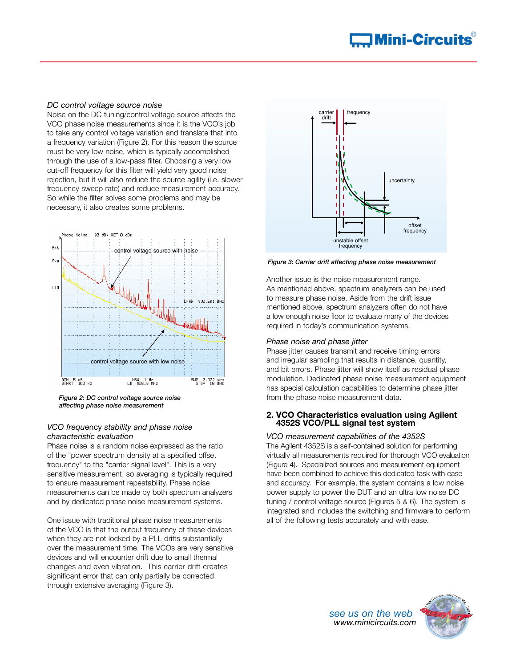#### *DC control voltage source noise*

Noise on the DC tuning/control voltage source affects the VCO phase noise measurements since it is the VCO's job to take any control voltage variation and translate that into a frequency variation (Figure 2). For this reason the source must be very low noise, which is typically accomplished through the use of a low-pass filter. Choosing a very low cut-off frequency for this filter will yield very good noise rejection, but it will also reduce the source agility (i.e. slower frequency sweep rate) and reduce measurement accuracy. So while the filter solves some problems and may be necessary, it also creates some problems.



*Figure 2: DC control voltage source noise affecting phase noise measurement*

# *VCO frequ*ency *stability and phase noise characteristic evaluation*

Phase noise is a random noise expressed as the ratio of the "power spectrum density at a specified offset frequency" to the "carrier signal level". This is a very sensitive measurement, so averaging is typically required to ensure measurement repeatability. Phase noise measurements can be made by both spectrum analyzers and by dedicated phase noise measurement systems.

One issue with traditional phase noise measurements of the VCO is that the output frequency of these devices when they are not locked by a PLL drifts substantially over the measurement time. The VCOs are very sensitive devices and will encounter drift due to small thermal changes and even vibration. This carrier drift creates significant error that can only partially be corrected through extensive averaging (Figure 3).



*Figure 3: Carrier drift affecting phase noise measurement*

Another issue is the noise measurement range. As mentioned above, spectrum analyzers can be used to measure phase noise. Aside from the drift issue mentioned above, spectrum analyzers often do not have a low enough noise floor to evaluate many of the devices required in today's communication systems.

# *Phase noise and phase jitter*

Phase jitter causes transmit and receive timing errors and irregular sampling that results in distance, quantity, and bit errors. Phase jitter will show itself as residual phase modulation. Dedicated phase noise measurement equipment has special calculation capabilities to determine phase jitter from the phase noise measurement data.

# **2. VCO Characteristics evaluation using Agilent 4352S VCO/PLL signal test system**

*VCO measurement capabilities of the 4352S* The Agilent 4352S is a self-contained solution for performing virtually all measurements required for thorough VCO evaluation (Figure 4). Specialized sources and measurement equipment have been combined to achieve this dedicated task with ease and accuracy. For example, the system contains a low noise power supply to power the DUT and an ultra low noise DC tuning / control voltage source (Figures 5 & 6). The system is integrated and includes the switching and firmware to perform all of the following tests accurately and with ease.

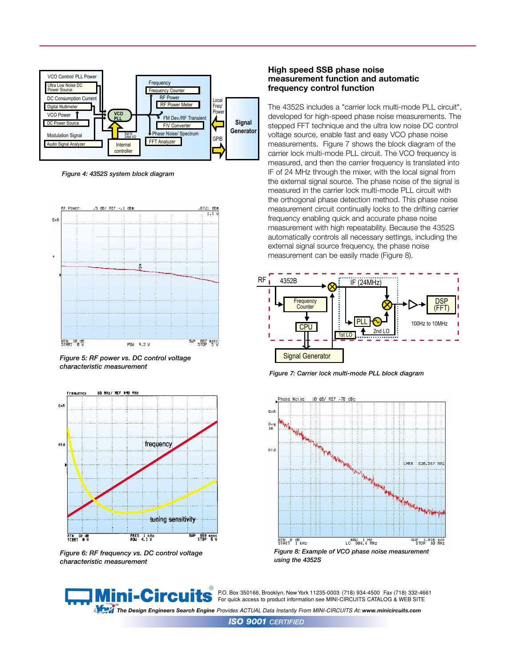

*Figure 4: 4352S system block diagram*



*Figure 5: RF power vs. DC control voltage characteristic measurement*



*Figure 6: RF frequency vs. DC control voltage characteristic measurement*

#### **High speed SSB phase noise measurement function and automatic frequency control function**

The 4352S includes a "carrier lock multi-mode PLL circuit", developed for high-speed phase noise measurements. The stepped FFT technique and the ultra low noise DC control voltage source, enable fast and easy VCO phase noise measurements. Figure 7 shows the block diagram of the carrier lock multi-mode PLL circuit. The VCO frequency is measured, and then the carrier frequency is translated into IF of 24 MHz through the mixer, with the local signal from the external signal source. The phase noise of the signal is measured in the carrier lock multi-mode PLL circuit with the orthogonal phase detection method. This phase noise measurement circuit continually locks to the drifting carrier frequency enabling quick and accurate phase noise measurement with high repeatability. Because the 4352S automatically controls all necessary settings, including the external signal source frequency, the phase noise measurement can be easily made (Figure 8).



*Figure 7: Carrier lock multi-mode PLL block diagram*



*using the 4352S* 



P.O. Box 350166, Brooklyn, New York 11235-0003 (718) 934-4500 Fax (718) 332-4661 For quick access to product information see MINI-CIRCUITS CATALOG & WEB SITE

™<br>The Design Engineers Search Engine Provides ACTUAL Data Instantly From MINI-CIRCUITS At: www.minicircuits.com

*ISO 9001 CERTIFIED*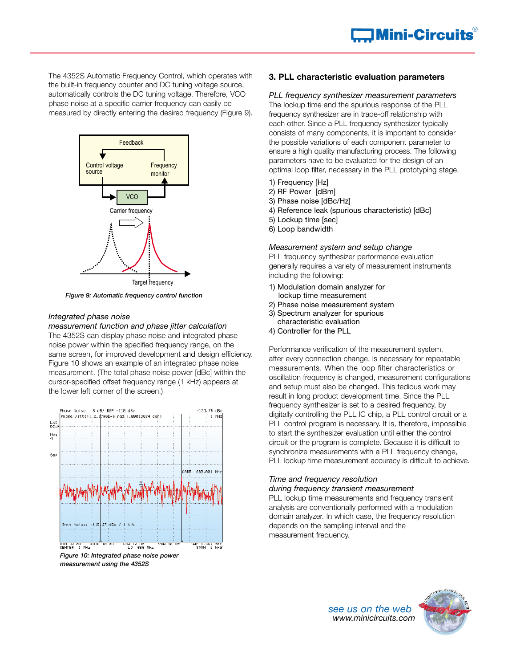The 4352S Automatic Frequency Control, which operates with the built-in frequency counter and DC tuning voltage source, automatically controls the DC tuning voltage. Therefore, VCO phase noise at a specific carrier frequency can easily be measured by directly entering the desired frequency (Figure 9).



*Figure 9: Automatic frequency control function*

#### *Integrated phase noise*

*measurement function and phase jitter calculation* The 4352S can display phase noise and integrated phase noise power within the specified frequency range, on the same screen, for improved development and design efficiency. Figure 10 shows an example of an integrated phase noise measurement. (The total phase noise power [dBc] within the cursor-specified offset frequency range (1 kHz) appears at the lower left corner of the screen.)



*Figure 10: Integrated phase noise power measurement using the 4352S*

# **3. PLL characteristic evaluation parameters**

*PLL frequency synthesizer measurement parameters* The lockup time and the spurious response of the PLL frequency synthesizer are in trade-off relationship with each other. Since a PLL frequency synthesizer typically consists of many components, it is important to consider the possible variations of each component parameter to ensure a high quality manufacturing process. The following parameters have to be evaluated for the design of an optimal loop filter, necessary in the PLL prototyping stage.

- 1) Frequency [Hz]
- 2) RF Power [dBm]
- 3) Phase noise [dBc/Hz]
- 4) Reference leak (spurious characteristic) [dBc]
- 5) Lockup time [sec]
- 6) Loop bandwidth

#### *Measurement system and setup change*

PLL frequency synthesizer performance evaluation generally requires a variety of measurement instruments including the following:

- 1) Modulation domain analyzer for lockup time measurement
- 2) Phase noise measurement system
- 3) Spectrum analyzer for spurious
- characteristic evaluation
- 4) Controller for the PLL

Performance verification of the measurement system, after every connection change, is necessary for repeatable measurements. When the loop filter characteristics or oscillation frequency is changed, measurement configurations and setup must also be changed. This tedious work may result in long product development time. Since the PLL frequency synthesizer is set to a desired frequency, by digitally controlling the PLL IC chip, a PLL control circuit or a PLL control program is necessary. It is, therefore, impossible to start the synthesizer evaluation until either the control circuit or the program is complete. Because it is difficult to synchronize measurements with a PLL frequency change, PLL lockup time measurement accuracy is difficult to achieve.

# *Time and frequency resolution*

#### *during frequency transient measurement*

PLL lockup time measurements and frequency transient analysis are conventionally performed with a modulation domain analyzer. In which case, the frequency resolution depends on the sampling interval and the measurement frequency.

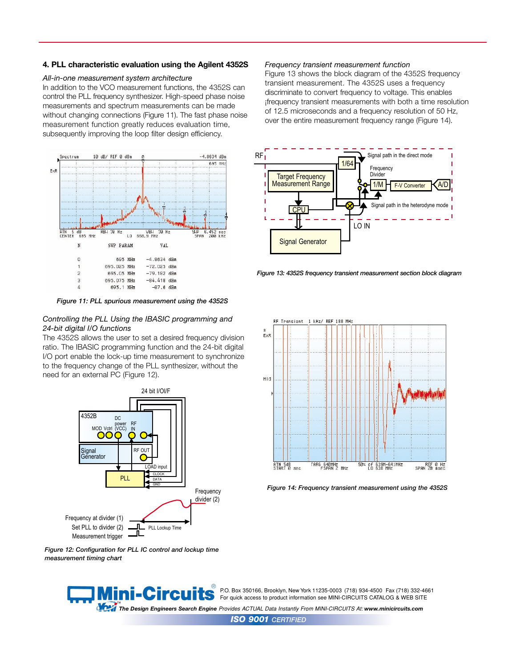#### **4. PLL characteristic evaluation using the Agilent 4352S**

#### *All-in-one measurement system architecture*

In addition to the VCO measurement functions, the 4352S can control the PLL frequency synthesizer. High-speed phase noise measurements and spectrum measurements can be made without changing connections (Figure 11). The fast phase noise measurement function greatly reduces evaluation time, subsequently improving the loop filter design efficiency.



*Figure 11: PLL spurious measurement using the 4352S*

#### *Controlling the PLL Using the IBASIC programming and 24-bit digital I/O functions*

The 4352S allows the user to set a desired frequency division ratio. The IBASIC programming function and the 24-bit digital I/O port enable the lock-up time measurement to synchronize to the frequency change of the PLL synthesizer, without the need for an external PC (Figure 12).



*Figure 12: Configuration for PLL IC control and lockup time measurement timing chart*

# *Frequency transient measurement function*

Figure 13 shows the block diagram of the 4352S frequency transient measurement. The 4352S uses a frequency discriminate to convert frequency to voltage. This enables ¡frequency transient measurements with both a time resolution of 12.5 microseconds and a frequency resolution of 50 Hz, over the entire measurement frequency range (Figure 14).



*Figure 13: 4352S frequency transient measurement section block diagram*



*Figure 14: Frequency transient measurement using the 4352S* 

® ni-Circui

P.O. Box 350166, Brooklyn, New York 11235-0003 (718) 934-4500 Fax (718) 332-4661 For quick access to product information see MINI-CIRCUITS CATALOG & WEB SITE

™<br>The Design Engineers Search Engine Provides ACTUAL Data Instantly From MINI-CIRCUITS At: www.minicircuits.com